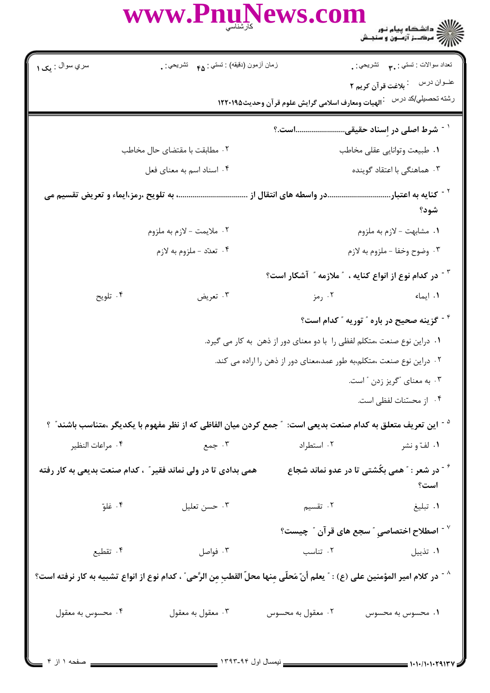|                                                                                                                                  | WWW.PnuNews.com                                                                                                         |                                                                         | ع / / دانشگاه پیام نور<br>- / / / مرکــز آزمــون و سنجـش                             |  |
|----------------------------------------------------------------------------------------------------------------------------------|-------------------------------------------------------------------------------------------------------------------------|-------------------------------------------------------------------------|--------------------------------------------------------------------------------------|--|
| سري سوال : يک ۱                                                                                                                  | زمان أزمون (دقيقه) : تستي : <sub>۴۵</sub> تشريحي : .                                                                    |                                                                         | نعداد سوالات : تستبي <b>: ٣.</b> نشريحي : .<br>عنــوان درس         بلاغت قرآن كريم ٢ |  |
|                                                                                                                                  |                                                                                                                         |                                                                         | رشته تحصبلي/كد درس عجالهيات ومعارف اسلامى گرايش علوم قر آن وحديث١٢٢٠١٩٥              |  |
|                                                                                                                                  |                                                                                                                         |                                                                         | <sup>۱</sup> <sup>-</sup> شرط اصلی در اِسناد حقیقیاست.؟                              |  |
|                                                                                                                                  | ۰۲ مطابقت با مقتضای حال مخاطب                                                                                           |                                                                         | ۰۱ طبیعت وتوانایی عقلی مخاطب                                                         |  |
|                                                                                                                                  | ۰۴ اسناد اسم به معنای فعل                                                                                               |                                                                         | ۰۳ هماهنگی با اعتقاد گوینده                                                          |  |
| <sup>۲ -</sup> کنایه به اعتباردر واسطه های انتقال از  به تلویح ،رمز،ایماء و تعریض تقسیم می<br>شود؟                               |                                                                                                                         |                                                                         |                                                                                      |  |
| ۰۲ ملايمت - لازم به ملزوم                                                                                                        |                                                                                                                         | ۰۱ مشابهت - لازم به ملزوم                                               |                                                                                      |  |
| ۴. تعدّد -ملزوم به لازم                                                                                                          |                                                                                                                         | ۰۳ وضوح وخفا - ملزوم به لازم                                            |                                                                                      |  |
|                                                                                                                                  |                                                                                                                         |                                                                         | در کدام نوع از انواع کنایه ، $\,$ ملازمه $\,$ آشکار است؟ $\,$                        |  |
| ۰۴ تلويح                                                                                                                         | ۰۳ تعریض                                                                                                                | ۰۲ رمز                                                                  |                                                                                      |  |
|                                                                                                                                  |                                                                                                                         |                                                                         | <sup>۴ -</sup> گزینه صحیح در باره ″ توریه ″ کدام است؟                                |  |
|                                                                                                                                  |                                                                                                                         | ۰۱ دراین نوع صنعت ،متکلم لفظی را با دو معنای دور از ذهن به کار می گیرد. |                                                                                      |  |
|                                                                                                                                  |                                                                                                                         | ۰۲ دراین نوع صنعت ،متکلم،به طور عمد،معنای دور از ذهن را اراده می کند.   |                                                                                      |  |
|                                                                                                                                  | ۰۳ به معنای "گریز زدن "است.                                                                                             |                                                                         |                                                                                      |  |
|                                                                                                                                  |                                                                                                                         |                                                                         | ۰۴ از محسّنات لفظی است.                                                              |  |
|                                                                                                                                  | <sup>۵ -</sup> این تعریف متعلق به کدام صنعت بدیعی است: ″جمع کردن میان الفاظی که از نظر مفهوم با یکدیگر ،متناسب باشند″ ؟ |                                                                         |                                                                                      |  |
| ۰۴ مراعات النظير                                                                                                                 | ۰۳ جمع                                                                                                                  | ۰۲ استطراد                                                              | ۰۱ لفّ و نشر                                                                         |  |
|                                                                                                                                  | همی بدادی تا در ولی نماند فقیر ؒ ، کدام صنعت بدیعی به کار رفته                                                          |                                                                         | <sup>۶ -</sup> در شعر : ″ همی بکُشتی تا در عدو نماند شجاع<br>است؟                    |  |
| ۰۴ غلوّ                                                                                                                          | ۰۳ حسن تعليل                                                                                                            | ۲ . تقسیم                                                               | ٠١ تبليغ                                                                             |  |
|                                                                                                                                  |                                                                                                                         |                                                                         | $^{\circ}$ اصطلاح اختصاصی $^{\circ}$ سجع های قرآن $^{\circ}$ چیست $^{\circ}$         |  |
| ۰۴ تقطیع                                                                                                                         | ۰۳ فواصل                                                                                                                | ۰۲ تناسب                                                                | ۰۱ تذییل                                                                             |  |
| ^ - در كلام امير المؤمنين على (ع) : " يعلم أنّ مَحلّى مِنها محلّ القطبِ مِن الرَّحى" ، كدام نوع از انواع تشبيه به كار نرفته است؟ |                                                                                                                         |                                                                         |                                                                                      |  |
| ۰۴ محسوس به معقول                                                                                                                | ۰۳ معقول به معقول                                                                                                       | ۰۲ معقول به محسوس                                                       | ۰۱ محسوس به محسوس                                                                    |  |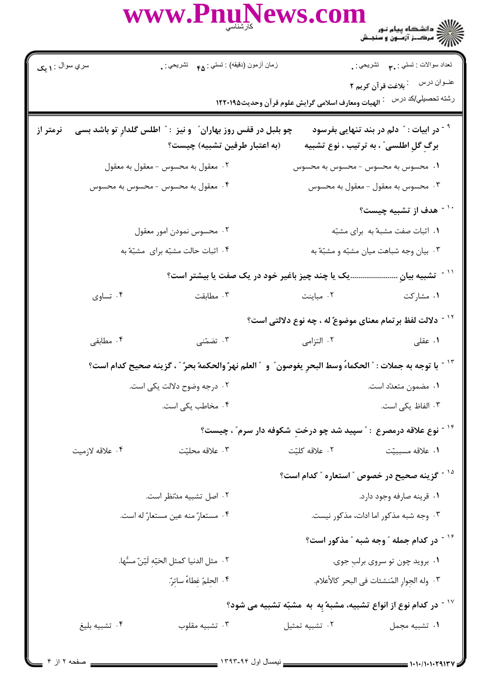|                                   | WWW.PnuNews.com                                                                                                          |                                                   | ع / / / دانشگاه پیام نور<br>- / / / سرک_ز آزمــون و سنجـش                                                  |
|-----------------------------------|--------------------------------------------------------------------------------------------------------------------------|---------------------------------------------------|------------------------------------------------------------------------------------------------------------|
| سري سوال : ۱ يک                   | زمان أزمون (دقيقه) : تستي : <sub>۴۵</sub> تشريحي : <sub>.</sub>                                                          |                                                   | تعداد سوالات : تستي : ٣ <b>. س</b> تشريحي : .<br>عنــوان درس<br><sup>:</sup> بلاغت قرآن کریم ۲             |
|                                   |                                                                                                                          | الهيات ومعارف اسلامى گرايش علوم قرآن وحديث1۲۲۰۱۹۵ | رشته تحصيلي/كد درس                                                                                         |
| نرمتر از                          | چو بلبل در قفس روز بهاران ؒ و نیز : ؒ اطلس گلدارِ تو باشد بسی<br>(به اعتبار طرفین تشبیه) چیست؟                           |                                                   | <sup>۹ -</sup> در ابیات : <sup>"</sup> دلم در بند تنهایی بفرسود<br>برگِ گلِ اطلسی ؒ ، به ترتیب ، نوع تشبیه |
|                                   | ۰۲ معقول به محسوس - معقول به معقول                                                                                       |                                                   | ۰۱ محسوس به محسوس – محسوس به محسوس                                                                         |
|                                   | ۰۴ معقول به محسوس - محسوس به محسوس                                                                                       |                                                   | ۰۳ محسوس به معقول - معقول به محسوس                                                                         |
|                                   |                                                                                                                          |                                                   | <sup>۱۰ -</sup> هدف از تشبیه چیست؟                                                                         |
|                                   | ۰۲ محسوس نمودن امور معقول                                                                                                |                                                   | ٠١ اثبات صفت مشبهٌ به براي مشبّه                                                                           |
| ۰۴ اثبات حالت مشبّه برای مشبّه به |                                                                                                                          | ۰۳ بیان وجه شباهت میان مشبّه و مشبّه ّبه          |                                                                                                            |
|                                   | یک یا چند چیز باغیر خود در یک صفت یا بیشتر است؟                                                                          |                                                   | ّ`` تشبيه بيانٍ                                                                                            |
| ۰۴ تساوي                          | مطابقت $\cdot$ ۳ .                                                                                                       | ۰۲ مباینت                                         | ۰۱ مشارکت                                                                                                  |
|                                   |                                                                                                                          |                                                   | <sup>۱۲ -</sup> دلالت لفظ برتمام معنای موضوعٌ له ، چه نوع دلالتی است؟                                      |
| ۰۴ مطابقی                         | ۰۳ تضمّنی                                                                                                                | ۰۲ التزامی                                        | ۰۱ عقلی                                                                                                    |
|                                   | <sup>١٣ -</sup> با توجه به جملات : " الحكماءً وسط البحرِ يغوصون ؒ و  " العلم نهر ٌ والحكمهُ بحر ؒ ، گزينه صحيح كدام است؟ |                                                   |                                                                                                            |
|                                   | ۰۲ درجه وضوح دلالت یکی است.                                                                                              |                                                   | ٠١ مضمون متعدّد است.                                                                                       |
|                                   | ۰۴ مخاطب یکی است.                                                                                                        |                                                   | ۰۳ الفاظ یکی است.                                                                                          |
|                                   |                                                                                                                          |                                                   | <sup>۱۴ -</sup> نوع علاقه درمصرع : ″ سپید شد چو درختِ شکوفه دار سرم″ ، چیست؟                               |
| ۰۴ علاقه لازميت                   | ۰۳ علاقه محليّت                                                                                                          | ۰۲ علاقه کلیّت                                    | ۰۱ علاقه مسببيّت                                                                                           |
|                                   |                                                                                                                          |                                                   | <sup>۱۵ -</sup> گزینه صحیح در خصوص <i>"</i> استعاره <i>" کد</i> ام است؟                                    |
|                                   | ۰۲ اصل تشبیه مدّنظر است.                                                                                                 | ٠١ قرينه صارفه وجود دارد.                         |                                                                                                            |
|                                   | ۰۴ مستعارٌ منه عين مستعارٌ له است.                                                                                       |                                                   | ۰۳ وجه شبه مذکور اما ادات، مذکور نیست.                                                                     |
|                                   |                                                                                                                          |                                                   | <sup>۱۶ -</sup> در کدام جمله ″ وجه شبه ″ مذکور است؟                                                        |
|                                   | ٠٢ مثل الدنيا كمثل الحَيّه لَيّنّ مسُّها.                                                                                |                                                   | ۰۱ بروید چون تو سروی برلبِ جوی.                                                                            |
|                                   | ۰۴ الحِلمُ غطاءٌ ساترٌ.                                                                                                  |                                                   | ٢. وله الجِوارِ المُنشئات في البحرِ كالأعلام.                                                              |
|                                   |                                                                                                                          |                                                   | در کدام نوع از انواع تشبیه، مشبهٌ بِه ۖ به مشبّه تشبیه می شود؟ "                                           |
| ۰۴ تشبيه بليغ                     | ۰۳ تشبيه مقلوب                                                                                                           | ٠٢ تشبيه تمثيل                                    | ٠١ تشبيه مجمل                                                                                              |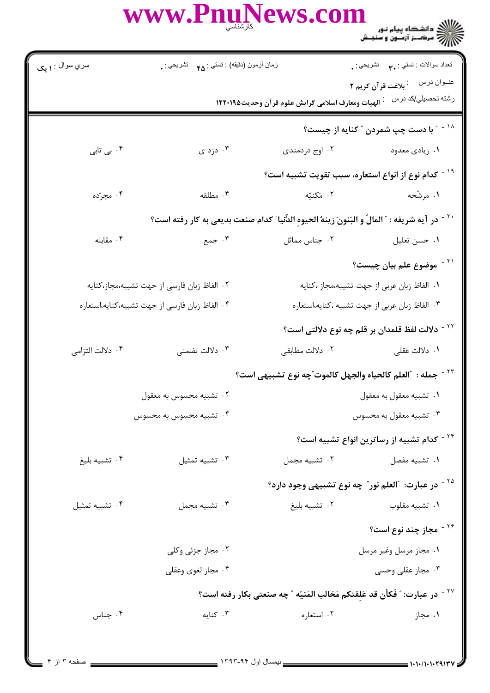WWW.PnuNews.com

| سري سوال : ۱ يک  | زمان أزمون (دقيقه) : تستى : هم     تشريحي : .                                                     |                                                                | تعداد سوالات : تستي : ٣. تشريحي : .                                                    |  |
|------------------|---------------------------------------------------------------------------------------------------|----------------------------------------------------------------|----------------------------------------------------------------------------------------|--|
|                  |                                                                                                   |                                                                | عنــوان درس         بلاغت قرآن كريم ٢                                                  |  |
|                  |                                                                                                   | <sup>:</sup> الهيات ومعارف اسلامي گرايش علوم قرآن وحديث١٢٢٠١٩٥ | رشته تحصيل <i>ي </i> كد درس                                                            |  |
|                  |                                                                                                   |                                                                | <sup>۱۸ -</sup> " با دست چپ شمردن <sup>"</sup> کنایه از چیست؟                          |  |
| ۰۴ بی تابی       | ۰۳ دزد ی                                                                                          | ۰۲ اوج دردمندی                                                 | ۰۱ زیادی معدود                                                                         |  |
|                  |                                                                                                   |                                                                | <sup>۱۹ -</sup> کدام نوع از انواع استعاره، سبب تقویت تشبیه است؟                        |  |
| ۰۴ مجرّده        | ۰۳ مطلقه                                                                                          | ۰۲ مَکنیّه                                                     | ۱. مرشّحه                                                                              |  |
|                  | `` ` در آيه شريفه : ؒ المالُ و البَنونَ زينهُ الحيوهِ الدِّنيا ؒ كدام صنعت بديعي به كار رفته است؟ |                                                                |                                                                                        |  |
| ۰۴ مقابله        | جمع $\cdot$ ۳                                                                                     | ۰۲ جناس مماثل                                                  | ۰۱ حسن تعلیل                                                                           |  |
|                  |                                                                                                   |                                                                | <sup>۲۱ -</sup> موضوع علم بیان چیست؟                                                   |  |
|                  | ٢. الفاظ زبان فارسى از جهت تشبيه،مجاز،كنايه                                                       |                                                                | ٠١. الفاظ زبان عربي از جهت تشيبه،مجاز ،كنايه                                           |  |
|                  | ۴. الفاظ زبان فارسي از جهت تشبيه،كنايه،استعاره                                                    |                                                                | ۰۳ الفاظ زبان عربی از جهت تشبیه ،کنایه،استعاره                                         |  |
|                  |                                                                                                   |                                                                | <sup>۲۲ -</sup> دلالت لفظ قلمدان بر قلم چه نوع دلالتی است؟                             |  |
| ۰۴ دلالت التزامي | ۰۳ دلالت تضمنی                                                                                    |                                                                |                                                                                        |  |
|                  |                                                                                                   |                                                                | <sup>7۳ -</sup> جمله :  "العلم كالحياه والجهل كالموت"چه نوع تشبيهي است؟                |  |
|                  | ٠٢ تشبيه محسوس به معقول                                                                           |                                                                | ۰۱ تشبيه معقول به معقول                                                                |  |
|                  | ۴ . تشبیه محسوس به محسوس                                                                          |                                                                | ۰۳ تشبیه معقول به محسوس                                                                |  |
|                  |                                                                                                   |                                                                | <sup>۲۴ -</sup> کدام تشبیه از رساترین انواع تشبیه است؟                                 |  |
| ۰۴ تشبيه بليغ    | ٠٣ تشبيه تمثيل                                                                                    | ۰۲ تشبیه مجمل                                                  | ۰۱ تشبیه مفصل                                                                          |  |
|                  |                                                                                                   |                                                                | <sup>۲۵ -</sup> در عبارت: "العلم نور" چه نوع تشبیهی وجود دارد؟                         |  |
| ۰۴ تشبيه تمثيل   | ۰۳ تشبیه مجمل                                                                                     | ۰۲ تشبيه بليغ                                                  | ۰۱ تشبيه مقلوب                                                                         |  |
|                  |                                                                                                   |                                                                | <sup>۲۶ -</sup> مجاز چند نوع است؟                                                      |  |
|                  | ۰۲ مجاز جزئی وکلی                                                                                 |                                                                | ۰۱ مجاز مرسل وغیر مرسل                                                                 |  |
|                  | ۰۴ مجاز لغوی وعقلی                                                                                |                                                                | ۰۳ مجاز عقلی وحسی                                                                      |  |
|                  |                                                                                                   |                                                                | <sup>۲۷ -</sup> در عبارت: ؒ فَكأن قد عَلقتكم مَخالب المَنيّه ؒ چه صنعتي بكار رفته است؟ |  |
| ۰۴ جناس          | ۰۳ کنایه                                                                                          | ۰۲ استعاره                                                     | ۰۱ مجاز                                                                                |  |
|                  |                                                                                                   |                                                                |                                                                                        |  |